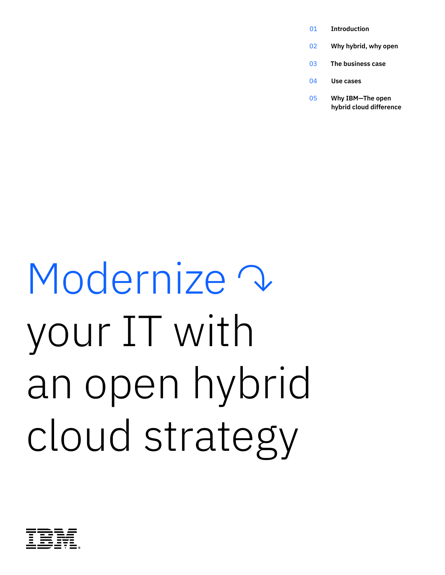- **Introduction** 01
- **Why hybrid, why open** 02
- **The business case** 03
- **Use cases** 04
- **Why IBM—The open hybrid cloud difference** 05

### Modernize V your IT with an open hybrid cloud strategy

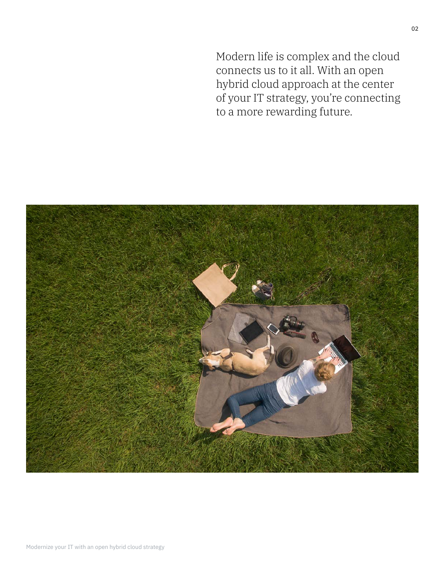Modern life is complex and the cloud connects us to it all. With an open hybrid cloud approach at the center of your IT strategy, you're connecting to a more rewarding future.

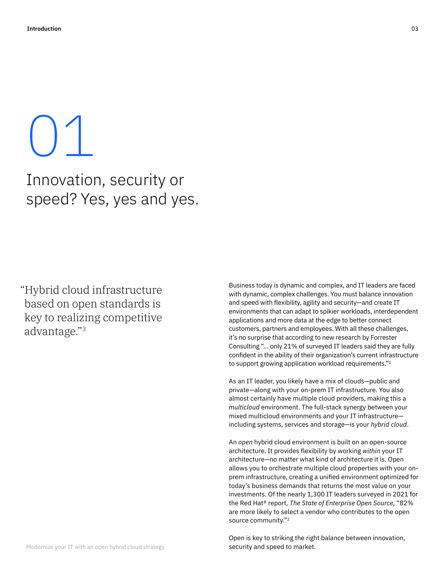# $\vert \ \rangle \vert$

### Innovation, security or speed? Yes, yes and yes.

"Hybrid cloud infrastructure based on open standards is key to realizing competitive advantage."3

Business today is dynamic and complex, and IT leaders are faced with dynamic, complex challenges. You must balance innovation and speed with flexibility, agility and security—and create IT environments that can adapt to spikier workloads, interdependent applications and more data at the edge to better connect customers, partners and employees. With all these challenges, it's no surprise that according to new research by Forrester Consulting "… only 21% of surveyed IT leaders said they are fully confident in the ability of their organization's current infrastructure to support growing application workload requirements."1

As an IT leader, you likely have a mix of clouds—public and private—along with your on-prem IT infrastructure. You also almost certainly have multiple cloud providers, making this a *multicloud* environment. The full-stack synergy between your mixed multicloud environments and your IT infrastructure including systems, services and storage—is your *hybrid cloud*.

An *open* hybrid cloud environment is built on an open-source architecture. It provides flexibility by working *within* your IT architecture—no matter what kind of architecture it is. Open allows you to orchestrate multiple cloud properties with your onprem infrastructure, creating a unified environment optimized for today's business demands that returns the most value on your investments. Of the nearly 1,300 IT leaders surveyed in 2021 for the Red Hat® report, *The State of Enterprise Open Source*, "82% are more likely to select a vendor who contributes to the open source community."2

Open is key to striking the right balance between innovation, security and speed to market.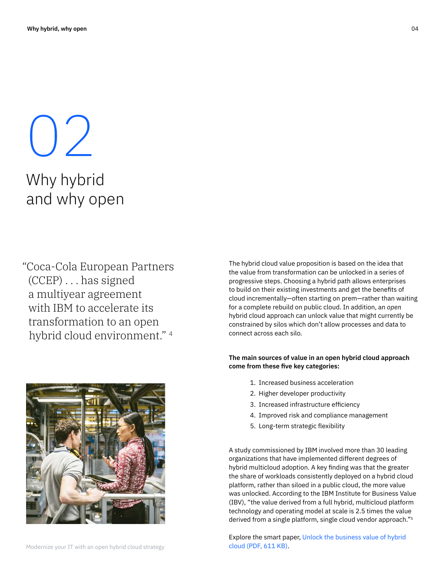$\bigcup'$ Why hybrid and why open

"Coca-Cola European Partners (CCEP) . . . has signed a multiyear agreement with IBM to accelerate its transformation to an open hybrid cloud environment." 4



The hybrid cloud value proposition is based on the idea that the value from transformation can be unlocked in a series of progressive steps. Choosing a hybrid path allows enterprises to build on their existing investments and get the benefits of cloud incrementally—often starting on prem—rather than waiting for a complete rebuild on public cloud. In addition, an *open* hybrid cloud approach can unlock value that might currently be constrained by silos which don't allow processes and data to connect across each silo.

#### **The main sources of value in an open hybrid cloud approach come from these five key categories:**

- 1. Increased business acceleration
- 2. Higher developer productivity
- 3. Increased infrastructure efficiency
- 4. Improved risk and compliance management
- 5. Long-term strategic flexibility

A study commissioned by IBM involved more than 30 leading organizations that have implemented different degrees of hybrid multicloud adoption. A key finding was that the greater the share of workloads consistently deployed on a hybrid cloud platform, rather than siloed in a public cloud, the more value was unlocked. According to the IBM Institute for Business Value (IBV), "the value derived from a full hybrid, multicloud platform technology and operating model at scale is 2.5 times the value derived from a single platform, single cloud vendor approach."5

Explore the smart paper, [Unlock the business value of hybrid](https://www.ibm.com/downloads/cas/PG8BJ8EK)  [cloud \(PDF, 611 KB\).](https://www.ibm.com/downloads/cas/PG8BJ8EK)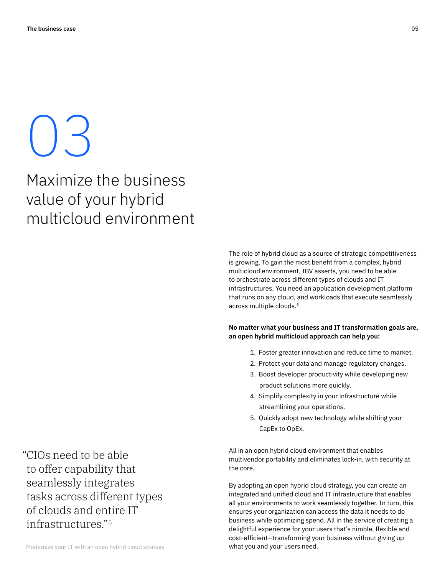## $\bigcup$

### Maximize the business value of your hybrid multicloud environment

"CIOs need to be able to offer capability that seamlessly integrates tasks across different types of clouds and entire IT infrastructures."5

The role of hybrid cloud as a source of strategic competitiveness is growing. To gain the most benefit from a complex, hybrid multicloud environment, IBV asserts, you need to be able to orchestrate across different types of clouds and IT infrastructures. You need an application development platform that runs on any cloud, and workloads that execute seamlessly across multiple clouds.5

#### **No matter what your business and IT transformation goals are, an open hybrid multicloud approach can help you:**

- 1. Foster greater innovation and reduce time to market.
- 2. Protect your data and manage regulatory changes.
- 3. Boost developer productivity while developing new product solutions more quickly.
- 4. Simplify complexity in your infrastructure while streamlining your operations.
- 5. Quickly adopt new technology while shifting your CapEx to OpEx.

All in an open hybrid cloud environment that enables multivendor portability and eliminates lock-in, with security at the core.

By adopting an open hybrid cloud strategy, you can create an integrated and unified cloud and IT infrastructure that enables all your environments to work seamlessly together. In turn, this ensures your organization can access the data it needs to do business while optimizing spend. All in the service of creating a delightful experience for your users that's nimble, flexible and cost-efficient—transforming your business without giving up what you and your users need.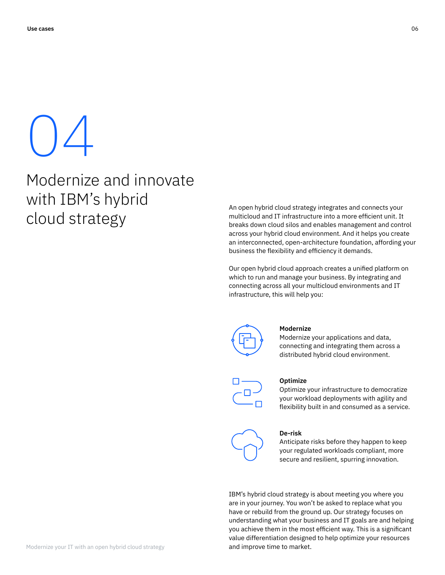# 04

Modernize and innovate with IBM's hybrid cloud strategy

An open hybrid cloud strategy integrates and connects your multicloud and IT infrastructure into a more efficient unit. It breaks down cloud silos and enables management and control across your hybrid cloud environment. And it helps you create an interconnected, open-architecture foundation, affording your business the flexibility and efficiency it demands.

Our open hybrid cloud approach creates a unified platform on which to run and manage your business. By integrating and connecting across all your multicloud environments and IT infrastructure, this will help you:



#### **Modernize**

Modernize your applications and data, connecting and integrating them across a distributed hybrid cloud environment.



#### **Optimize**

Optimize your infrastructure to democratize your workload deployments with agility and flexibility built in and consumed as a service.



#### **De-risk**

Anticipate risks before they happen to keep your regulated workloads compliant, more secure and resilient, spurring innovation.

IBM's hybrid cloud strategy is about meeting you where you are in your journey. You won't be asked to replace what you have or rebuild from the ground up. Our strategy focuses on understanding what your business and IT goals are and helping you achieve them in the most efficient way. This is a significant value differentiation designed to help optimize your resources and improve time to market.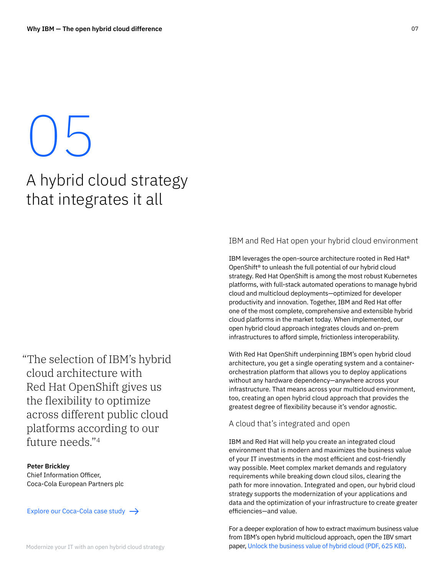### 05 A hybrid cloud strategy that integrates it all

"The selection of IBM's hybrid cloud architecture with Red Hat OpenShift gives us the flexibility to optimize across different public cloud platforms according to our future needs."4

**Peter Brickley** Chief Information Officer, Coca-Cola European Partners plc

#### [Explore our Coca-Cola case study](https://www.ibm.com/case-studies/coca-cola-european-partners/)  $\rightarrow$

#### IBM and Red Hat open your hybrid cloud environment

IBM leverages the open-source architecture rooted in Red Hat® OpenShift® to unleash the full potential of our hybrid cloud strategy. Red Hat OpenShift is among the most robust Kubernetes platforms, with full-stack automated operations to manage hybrid cloud and multicloud deployments—optimized for developer productivity and innovation. Together, IBM and Red Hat offer one of the most complete, comprehensive and extensible hybrid cloud platforms in the market today. When implemented, our open hybrid cloud approach integrates clouds and on-prem infrastructures to afford simple, frictionless interoperability.

With Red Hat OpenShift underpinning IBM's open hybrid cloud architecture, you get a single operating system and a containerorchestration platform that allows you to deploy applications without any hardware dependency—anywhere across your infrastructure. That means across your multicloud environment, too, creating an open hybrid cloud approach that provides the greatest degree of flexibility because it's vendor agnostic.

#### A cloud that's integrated and open

IBM and Red Hat will help you create an integrated cloud environment that is modern and maximizes the business value of your IT investments in the most efficient and cost-friendly way possible. Meet complex market demands and regulatory requirements while breaking down cloud silos, clearing the path for more innovation. Integrated and open, our hybrid cloud strategy supports the modernization of your applications and data and the optimization of your infrastructure to create greater efficiencies—and value.

For a deeper exploration of how to extract maximum business value from IBM's open hybrid multicloud approach, open the IBV smart paper, [Unlock the business value of hybrid cloud \(PDF, 625 KB\).](https://www.ibm.com/downloads/cas/PG8BJ8EK)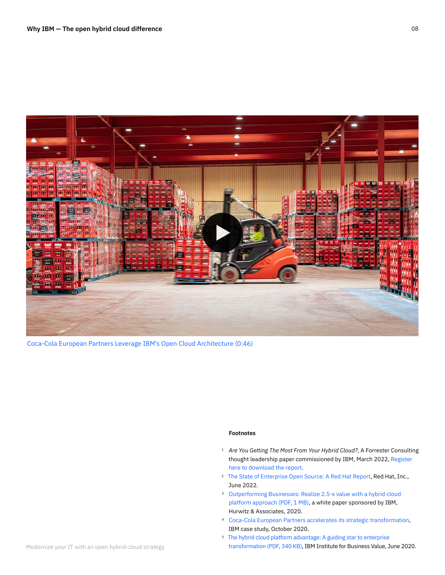

[Coca-Cola European Partners Leverage IBM's Open Cloud Architecture \(0:46\)](https://mediacenter.ibm.com/media/Coca-Cola%20European%20Partners%20Leverage%20IBM)

#### **Footnotes**

- <sup>1</sup> Are You Getting The Most From Your Hybrid Cloud?, A Forrester Consulting thought leadership paper commissioned by IBM, March 2022, [Register](https://www.ibm.com/it-infrastructure/us-en/resources/hybrid-multicloud-infrastructure-strategy/)  [here to download the report](https://www.ibm.com/it-infrastructure/us-en/resources/hybrid-multicloud-infrastructure-strategy/).
- <sup>2</sup> [The State of Enterprise Open Source: A Red Hat Report,](https://www.redhat.com/en/enterprise-open-source-report/2022) Red Hat, Inc., June 2022.
- <sup>3</sup> Outperforming Businesses: Realize 2.5-x value with a hybrid cloud [platform approach \(PDF, 1 MB\)](https://www.ibm.com/downloads/cas/LVGDJE9N), a white paper sponsored by IBM, Hurwitz & Associates, 2020.
- [Coca-Cola European Partners accelerates its strategic transformation](https://www.ibm.com/case-studies/coca-cola-european-partners/), 4 IBM case study, October 2020.
- <sup>5</sup> The hybrid cloud platform advantage: A guiding star to enterprise [transformation \(PDF, 340 KB\),](https://www.ibm.com/downloads/cas/QMRQEROB) IBM Institute for Business Value, June 2020.

08